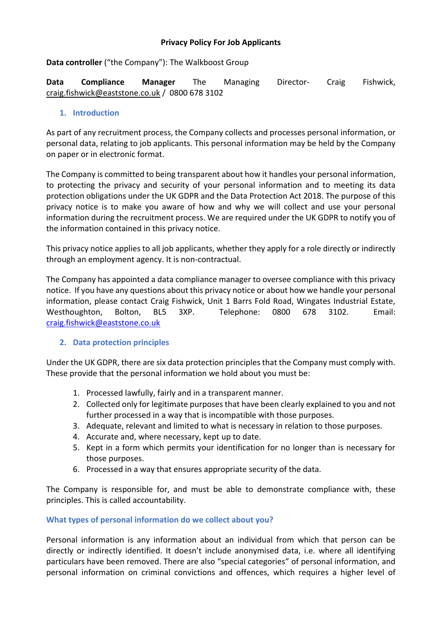## **Privacy Policy For Job Applicants**

**Data controller** ("the Company"): The Walkboost Group

**Data Compliance Manager** The Managing Director- Craig Fishwick, craig.fishwick@eaststone.co.uk / 0800 678 3102

## **1. Introduction**

As part of any recruitment process, the Company collects and processes personal information, or personal data, relating to job applicants. This personal information may be held by the Company on paper or in electronic format.

The Company is committed to being transparent about how it handles your personal information, to protecting the privacy and security of your personal information and to meeting its data protection obligations under the UK GDPR and the Data Protection Act 2018. The purpose of this privacy notice is to make you aware of how and why we will collect and use your personal information during the recruitment process. We are required under the UK GDPR to notify you of the information contained in this privacy notice.

This privacy notice applies to all job applicants, whether they apply for a role directly or indirectly through an employment agency. It is non-contractual.

The Company has appointed a data compliance manager to oversee compliance with this privacy notice. If you have any questions about this privacy notice or about how we handle your personal information, please contact Craig Fishwick, Unit 1 Barrs Fold Road, Wingates Industrial Estate, Westhoughton, Bolton, BL5 3XP. Telephone: 0800 678 3102. Email: craig.fishwick@eaststone.co.uk

## **2. Data protection principles**

Under the UK GDPR, there are six data protection principles that the Company must comply with. These provide that the personal information we hold about you must be:

- 1. Processed lawfully, fairly and in a transparent manner.
- 2. Collected only for legitimate purposes that have been clearly explained to you and not further processed in a way that is incompatible with those purposes.
- 3. Adequate, relevant and limited to what is necessary in relation to those purposes.
- 4. Accurate and, where necessary, kept up to date.
- 5. Kept in a form which permits your identification for no longer than is necessary for those purposes.
- 6. Processed in a way that ensures appropriate security of the data.

The Company is responsible for, and must be able to demonstrate compliance with, these principles. This is called accountability.

#### **What types of personal information do we collect about you?**

Personal information is any information about an individual from which that person can be directly or indirectly identified. It doesn't include anonymised data, i.e. where all identifying particulars have been removed. There are also "special categories" of personal information, and personal information on criminal convictions and offences, which requires a higher level of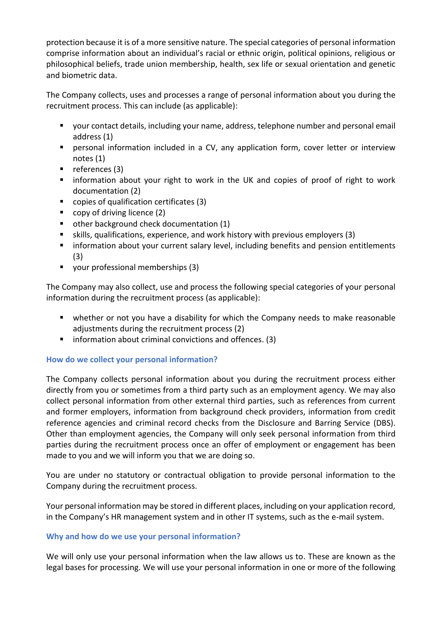protection because it is of a more sensitive nature. The special categories of personal information comprise information about an individual's racial or ethnic origin, political opinions, religious or philosophical beliefs, trade union membership, health, sex life or sexual orientation and genetic and biometric data.

The Company collects, uses and processes a range of personal information about you during the recruitment process. This can include (as applicable):

- your contact details, including your name, address, telephone number and personal email address (1)
- personal information included in a CV, any application form, cover letter or interview notes (1)
- $\blacksquare$  references (3)
- **EXT** information about your right to work in the UK and copies of proof of right to work documentation (2)
- copies of qualification certificates (3)
- copy of driving licence (2)
- other background check documentation (1)
- skills, qualifications, experience, and work history with previous employers (3)
- **EXT** information about your current salary level, including benefits and pension entitlements (3)
- your professional memberships (3)

The Company may also collect, use and process the following special categories of your personal information during the recruitment process (as applicable):

- whether or not you have a disability for which the Company needs to make reasonable adjustments during the recruitment process (2)
- $\blacksquare$  information about criminal convictions and offences. (3)

# **How do we collect your personal information?**

The Company collects personal information about you during the recruitment process either directly from you or sometimes from a third party such as an employment agency. We may also collect personal information from other external third parties, such as references from current and former employers, information from background check providers, information from credit reference agencies and criminal record checks from the Disclosure and Barring Service (DBS). Other than employment agencies, the Company will only seek personal information from third parties during the recruitment process once an offer of employment or engagement has been made to you and we will inform you that we are doing so.

You are under no statutory or contractual obligation to provide personal information to the Company during the recruitment process.

Your personal information may be stored in different places, including on your application record, in the Company's HR management system and in other IT systems, such as the e-mail system.

## **Why and how do we use your personal information?**

We will only use your personal information when the law allows us to. These are known as the legal bases for processing. We will use your personal information in one or more of the following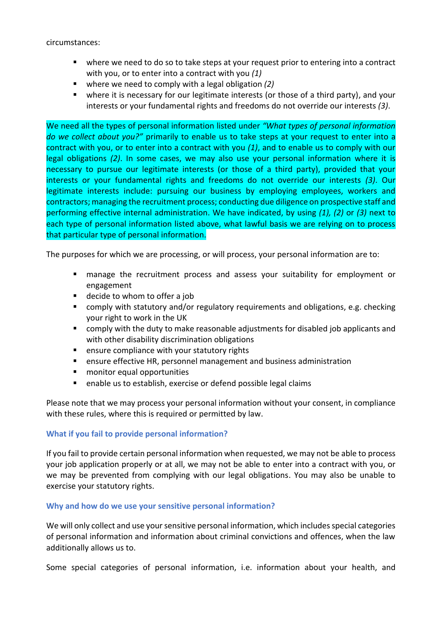circumstances:

- where we need to do so to take steps at your request prior to entering into a contract with you, or to enter into a contract with you *(1)*
- where we need to comply with a legal obligation  $(2)$
- where it is necessary for our legitimate interests (or those of a third party), and your interests or your fundamental rights and freedoms do not override our interests *(3)*.

We need all the types of personal information listed under *"What types of personal information do we collect about you?"* primarily to enable us to take steps at your request to enter into a contract with you, or to enter into a contract with you *(1)*, and to enable us to comply with our legal obligations *(2)*. In some cases, we may also use your personal information where it is necessary to pursue our legitimate interests (or those of a third party), provided that your interests or your fundamental rights and freedoms do not override our interests *(3)*. Our legitimate interests include: pursuing our business by employing employees, workers and contractors; managing the recruitment process; conducting due diligence on prospective staff and performing effective internal administration. We have indicated, by using *(1), (2)* or *(3)* next to each type of personal information listed above, what lawful basis we are relying on to process that particular type of personal information.

The purposes for which we are processing, or will process, your personal information are to:

- manage the recruitment process and assess your suitability for employment or engagement
- decide to whom to offer a job
- comply with statutory and/or regulatory requirements and obligations, e.g. checking your right to work in the UK
- comply with the duty to make reasonable adjustments for disabled job applicants and with other disability discrimination obligations
- ensure compliance with your statutory rights
- ensure effective HR, personnel management and business administration
- monitor equal opportunities
- enable us to establish, exercise or defend possible legal claims

Please note that we may process your personal information without your consent, in compliance with these rules, where this is required or permitted by law.

#### **What if you fail to provide personal information?**

If you fail to provide certain personal information when requested, we may not be able to process your job application properly or at all, we may not be able to enter into a contract with you, or we may be prevented from complying with our legal obligations. You may also be unable to exercise your statutory rights.

#### **Why and how do we use your sensitive personal information?**

We will only collect and use your sensitive personal information, which includes special categories of personal information and information about criminal convictions and offences, when the law additionally allows us to.

Some special categories of personal information, i.e. information about your health, and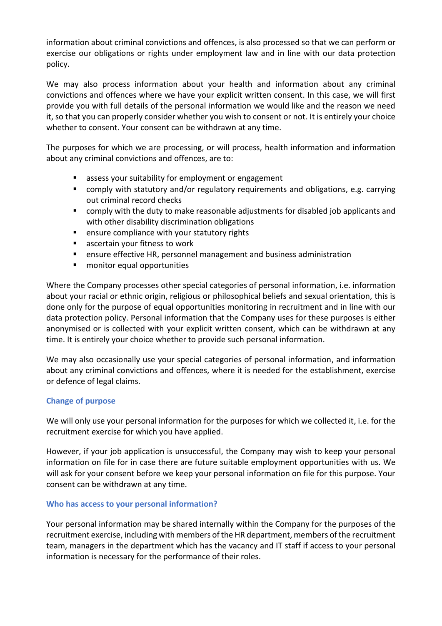information about criminal convictions and offences, is also processed so that we can perform or exercise our obligations or rights under employment law and in line with our data protection policy.

We may also process information about your health and information about any criminal convictions and offences where we have your explicit written consent. In this case, we will first provide you with full details of the personal information we would like and the reason we need it, so that you can properly consider whether you wish to consent or not. It is entirely your choice whether to consent. Your consent can be withdrawn at any time.

The purposes for which we are processing, or will process, health information and information about any criminal convictions and offences, are to:

- assess your suitability for employment or engagement
- comply with statutory and/or regulatory requirements and obligations, e.g. carrying out criminal record checks
- comply with the duty to make reasonable adjustments for disabled job applicants and with other disability discrimination obligations
- ensure compliance with your statutory rights
- ascertain your fitness to work
- ensure effective HR, personnel management and business administration
- monitor equal opportunities

Where the Company processes other special categories of personal information, i.e. information about your racial or ethnic origin, religious or philosophical beliefs and sexual orientation, this is done only for the purpose of equal opportunities monitoring in recruitment and in line with our data protection policy. Personal information that the Company uses for these purposes is either anonymised or is collected with your explicit written consent, which can be withdrawn at any time. It is entirely your choice whether to provide such personal information.

We may also occasionally use your special categories of personal information, and information about any criminal convictions and offences, where it is needed for the establishment, exercise or defence of legal claims.

## **Change of purpose**

We will only use your personal information for the purposes for which we collected it, i.e. for the recruitment exercise for which you have applied.

However, if your job application is unsuccessful, the Company may wish to keep your personal information on file for in case there are future suitable employment opportunities with us. We will ask for your consent before we keep your personal information on file for this purpose. Your consent can be withdrawn at any time.

## **Who has access to your personal information?**

Your personal information may be shared internally within the Company for the purposes of the recruitment exercise, including with members of the HR department, members of the recruitment team, managers in the department which has the vacancy and IT staff if access to your personal information is necessary for the performance of their roles.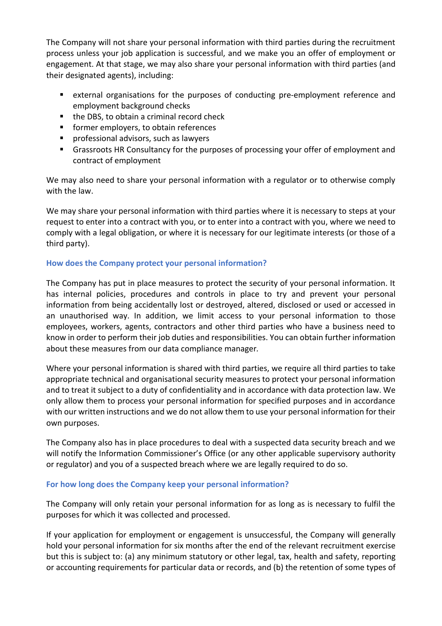The Company will not share your personal information with third parties during the recruitment process unless your job application is successful, and we make you an offer of employment or engagement. At that stage, we may also share your personal information with third parties (and their designated agents), including:

- external organisations for the purposes of conducting pre-employment reference and employment background checks
- the DBS, to obtain a criminal record check
- **former employers, to obtain references**
- **P** professional advisors, such as lawyers
- Grassroots HR Consultancy for the purposes of processing your offer of employment and contract of employment

We may also need to share your personal information with a regulator or to otherwise comply with the law.

We may share your personal information with third parties where it is necessary to steps at your request to enter into a contract with you, or to enter into a contract with you, where we need to comply with a legal obligation, or where it is necessary for our legitimate interests (or those of a third party).

## **How does the Company protect your personal information?**

The Company has put in place measures to protect the security of your personal information. It has internal policies, procedures and controls in place to try and prevent your personal information from being accidentally lost or destroyed, altered, disclosed or used or accessed in an unauthorised way. In addition, we limit access to your personal information to those employees, workers, agents, contractors and other third parties who have a business need to know in order to perform their job duties and responsibilities. You can obtain further information about these measures from our data compliance manager*.*

Where your personal information is shared with third parties, we require all third parties to take appropriate technical and organisational security measures to protect your personal information and to treat it subject to a duty of confidentiality and in accordance with data protection law. We only allow them to process your personal information for specified purposes and in accordance with our written instructions and we do not allow them to use your personal information for their own purposes.

The Company also has in place procedures to deal with a suspected data security breach and we will notify the Information Commissioner's Office (or any other applicable supervisory authority or regulator) and you of a suspected breach where we are legally required to do so.

## **For how long does the Company keep your personal information?**

The Company will only retain your personal information for as long as is necessary to fulfil the purposes for which it was collected and processed.

If your application for employment or engagement is unsuccessful, the Company will generally hold your personal information for six months after the end of the relevant recruitment exercise but this is subject to: (a) any minimum statutory or other legal, tax, health and safety, reporting or accounting requirements for particular data or records, and (b) the retention of some types of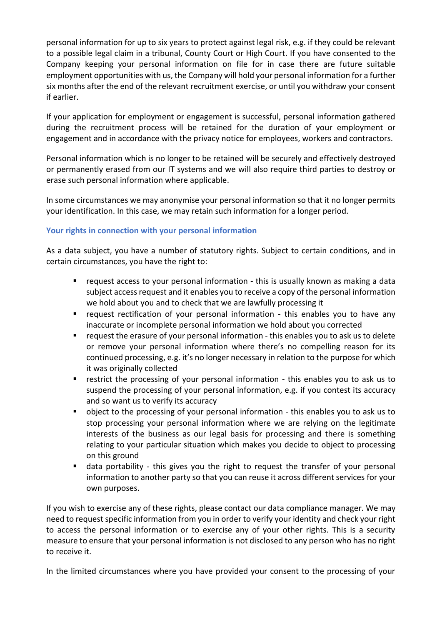personal information for up to six years to protect against legal risk, e.g. if they could be relevant to a possible legal claim in a tribunal, County Court or High Court. If you have consented to the Company keeping your personal information on file for in case there are future suitable employment opportunities with us, the Company will hold your personal information for a further six months after the end of the relevant recruitment exercise, or until you withdraw your consent if earlier.

If your application for employment or engagement is successful, personal information gathered during the recruitment process will be retained for the duration of your employment or engagement and in accordance with the privacy notice for employees, workers and contractors.

Personal information which is no longer to be retained will be securely and effectively destroyed or permanently erased from our IT systems and we will also require third parties to destroy or erase such personal information where applicable.

In some circumstances we may anonymise your personal information so that it no longer permits your identification. In this case, we may retain such information for a longer period.

# **Your rights in connection with your personal information**

As a data subject, you have a number of statutory rights. Subject to certain conditions, and in certain circumstances, you have the right to:

- request access to your personal information this is usually known as making a data subject access request and it enables you to receive a copy of the personal information we hold about you and to check that we are lawfully processing it
- **•** request rectification of your personal information this enables you to have any inaccurate or incomplete personal information we hold about you corrected
- request the erasure of your personal information this enables you to ask us to delete or remove your personal information where there's no compelling reason for its continued processing, e.g. it's no longer necessary in relation to the purpose for which it was originally collected
- restrict the processing of your personal information this enables you to ask us to suspend the processing of your personal information, e.g. if you contest its accuracy and so want us to verify its accuracy
- object to the processing of your personal information this enables you to ask us to stop processing your personal information where we are relying on the legitimate interests of the business as our legal basis for processing and there is something relating to your particular situation which makes you decide to object to processing on this ground
- data portability this gives you the right to request the transfer of your personal information to another party so that you can reuse it across different services for your own purposes.

If you wish to exercise any of these rights, please contact our data compliance manager. We may need to request specific information from you in order to verify your identity and check your right to access the personal information or to exercise any of your other rights. This is a security measure to ensure that your personal information is not disclosed to any person who has no right to receive it.

In the limited circumstances where you have provided your consent to the processing of your